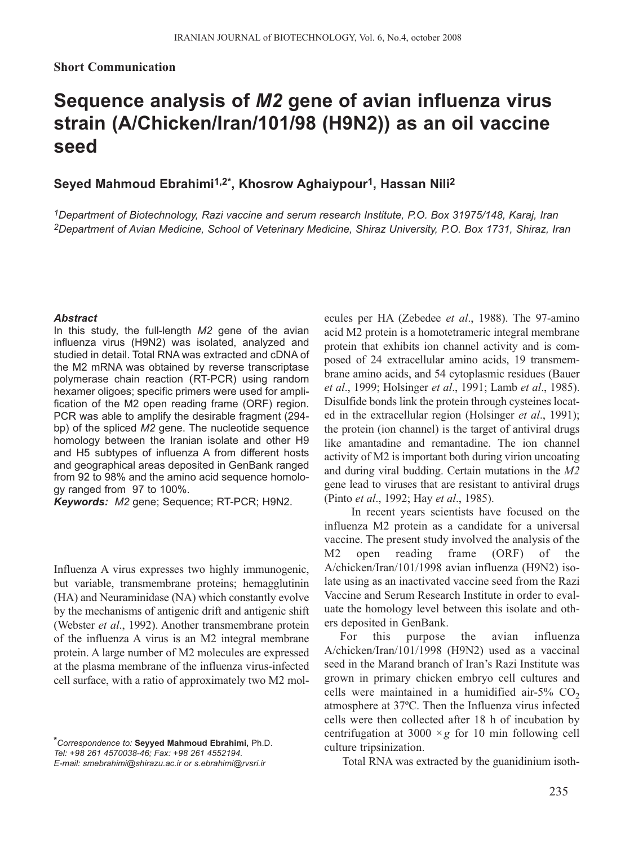## **Short Communication**

# **Sequence analysis of** *M2* **gene of avian influenza virus strain (A/Chicken/Iran/101/98 (H9N2)) as an oil vaccine seed**

# **Seyed Mahmoud Ebrahimi1,2\*, Khosrow Aghaiypour1, Hassan Nili2**

*1Department of Biotechnology, Razi vaccine and serum research Institute, P.O. Box 31975/148, Karaj, Iran 2Department of Avian Medicine, School of Veterinary Medicine, Shiraz University, P.O. Box 1731, Shiraz, Iran*

#### *Abstract*

In this study, the full-length *M2* gene of the avian influenza virus (H9N2) was isolated, analyzed and studied in detail. Total RNA was extracted and cDNA of the M2 mRNA was obtained by reverse transcriptase polymerase chain reaction (RT-PCR) using random hexamer oligoes; specific primers were used for amplification of the M2 open reading frame (ORF) region. PCR was able to amplify the desirable fragment (294 bp) of the spliced *M2* gene. The nucleotide sequence homology between the Iranian isolate and other H9 and H5 subtypes of influenza A from different hosts and geographical areas deposited in GenBank ranged from 92 to 98% and the amino acid sequence homology ranged from 97 to 100%.

*Keywords: M2* gene; Sequence; RT-PCR; H9N2.

Influenza A virus expresses two highly immunogenic, but variable, transmembrane proteins; hemagglutinin (HA) and Neuraminidase (NA) which constantly evolve by the mechanisms of antigenic drift and antigenic shift (Webster *et al*., 1992). Another transmembrane protein of the influenza A virus is an M2 integral membrane protein. A large number of M2 molecules are expressed at the plasma membrane of the influenza virus-infected cell surface, with a ratio of approximately two M2 mol-

*\*Correspondence to:* **Seyyed Mahmoud Ebrahimi,** Ph.D. *Tel: +98 261 4570038-46; Fax: +98 261 4552194. E-mail: smebrahimi@shirazu.ac.ir or s.ebrahimi@rvsri.ir*

ecules per HA (Zebedee *et al*., 1988). The 97-amino acid M2 protein is a homotetrameric integral membrane protein that exhibits ion channel activity and is composed of 24 extracellular amino acids, 19 transmembrane amino acids, and 54 cytoplasmic residues (Bauer *et al*., 1999; Holsinger *et al*., 1991; Lamb *et al*., 1985). Disulfide bonds link the protein through cysteines located in the extracellular region (Holsinger *et al*., 1991); the protein (ion channel) is the target of antiviral drugs like amantadine and remantadine. The ion channel activity of M2 is important both during virion uncoating and during viral budding. Certain mutations in the *M2* gene lead to viruses that are resistant to antiviral drugs (Pinto *et al*., 1992; Hay *et al*., 1985).

In recent years scientists have focused on the influenza M2 protein as a candidate for a universal vaccine. The present study involved the analysis of the M2 open reading frame (ORF) of the A/chicken/Iran/101/1998 avian influenza (H9N2) isolate using as an inactivated vaccine seed from the Razi Vaccine and Serum Research Institute in order to evaluate the homology level between this isolate and others deposited in GenBank.

For this purpose the avian influenza A/chicken/Iran/101/1998 (H9N2) used as a vaccinal seed in the Marand branch of Iran's Razi Institute was grown in primary chicken embryo cell cultures and cells were maintained in a humidified air-5%  $CO<sub>2</sub>$ atmosphere at 37ºC. Then the Influenza virus infected cells were then collected after 18 h of incubation by centrifugation at 3000  $\times g$  for 10 min following cell culture tripsinization.

Total RNA was extracted by the guanidinium isoth-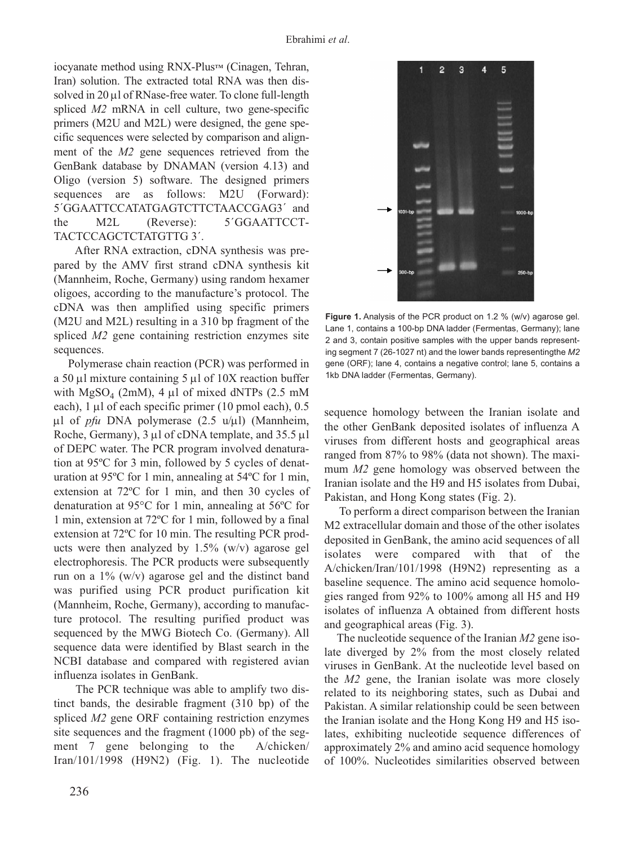iocyanate method using RNX-Plus™ (Cinagen, Tehran, Iran) solution. The extracted total RNA was then dissolved in 20 µl of RNase-free water. To clone full-length spliced *M2* mRNA in cell culture, two gene-specific primers (M2U and M2L) were designed, the gene specific sequences were selected by comparison and alignment of the *M2* gene sequences retrieved from the GenBank database by DNAMAN (version 4.13) and Oligo (version 5) software. The designed primers sequences are as follows: M2U (Forward): 5´GGAATTCCATATGAGTCTTCTAACCGAG3´ and the M2L (Reverse): 5<sup>'</sup>GGAATTCCT-TACTCCAGCTCTATGTTG 3´.

After RNA extraction, cDNA synthesis was prepared by the AMV first strand cDNA synthesis kit (Mannheim, Roche, Germany) using random hexamer oligoes, according to the manufacture's protocol. The cDNA was then amplified using specific primers (M2U and M2L) resulting in a 310 bp fragment of the spliced *M2* gene containing restriction enzymes site sequences.

Polymerase chain reaction (PCR) was performed in a 50  $\mu$ l mixture containing 5  $\mu$ l of 10X reaction buffer with  $MgSO<sub>4</sub>$  (2mM), 4 µl of mixed dNTPs (2.5 mM each), 1 µl of each specific primer (10 pmol each), 0.5 µl of *pfu* DNA polymerase (2.5 u/µl) (Mannheim, Roche, Germany), 3 µl of cDNA template, and 35.5 µl of DEPC water. The PCR program involved denaturation at 95ºC for 3 min, followed by 5 cycles of denaturation at 95ºC for 1 min, annealing at 54ºC for 1 min, extension at 72ºC for 1 min, and then 30 cycles of denaturation at 95°C for 1 min, annealing at 56ºC for 1 min, extension at 72ºC for 1 min, followed by a final extension at 72ºC for 10 min. The resulting PCR products were then analyzed by  $1.5\%$  (w/v) agarose gel electrophoresis. The PCR products were subsequently run on a  $1\%$  (w/v) agarose gel and the distinct band was purified using PCR product purification kit (Mannheim, Roche, Germany), according to manufacture protocol. The resulting purified product was sequenced by the MWG Biotech Co. (Germany). All sequence data were identified by Blast search in the NCBI database and compared with registered avian influenza isolates in GenBank.

The PCR technique was able to amplify two distinct bands, the desirable fragment (310 bp) of the spliced *M2* gene ORF containing restriction enzymes site sequences and the fragment (1000 pb) of the segment 7 gene belonging to the A/chicken/ Iran/101/1998 (H9N2) (Fig. 1). The nucleotide



**Figure 1.** Analysis of the PCR product on 1.2 % (w/v) agarose gel. Lane 1, contains a 100-bp DNA ladder (Fermentas, Germany); lane 2 and 3, contain positive samples with the upper bands representing segment 7 (26-1027 nt) and the lower bands representingthe *M2* gene (ORF); lane 4, contains a negative control; lane 5, contains a 1kb DNA ladder (Fermentas, Germany).

sequence homology between the Iranian isolate and the other GenBank deposited isolates of influenza A viruses from different hosts and geographical areas ranged from 87% to 98% (data not shown). The maximum *M2* gene homology was observed between the Iranian isolate and the H9 and H5 isolates from Dubai, Pakistan, and Hong Kong states (Fig. 2).

To perform a direct comparison between the Iranian M2 extracellular domain and those of the other isolates deposited in GenBank, the amino acid sequences of all isolates were compared with that of the A/chicken/Iran/101/1998 (H9N2) representing as a baseline sequence. The amino acid sequence homologies ranged from 92% to 100% among all H5 and H9 isolates of influenza A obtained from different hosts and geographical areas (Fig. 3).

The nucleotide sequence of the Iranian *M2* gene isolate diverged by 2% from the most closely related viruses in GenBank. At the nucleotide level based on the *M2* gene, the Iranian isolate was more closely related to its neighboring states, such as Dubai and Pakistan. A similar relationship could be seen between the Iranian isolate and the Hong Kong H9 and H5 isolates, exhibiting nucleotide sequence differences of approximately 2% and amino acid sequence homology of 100%. Nucleotides similarities observed between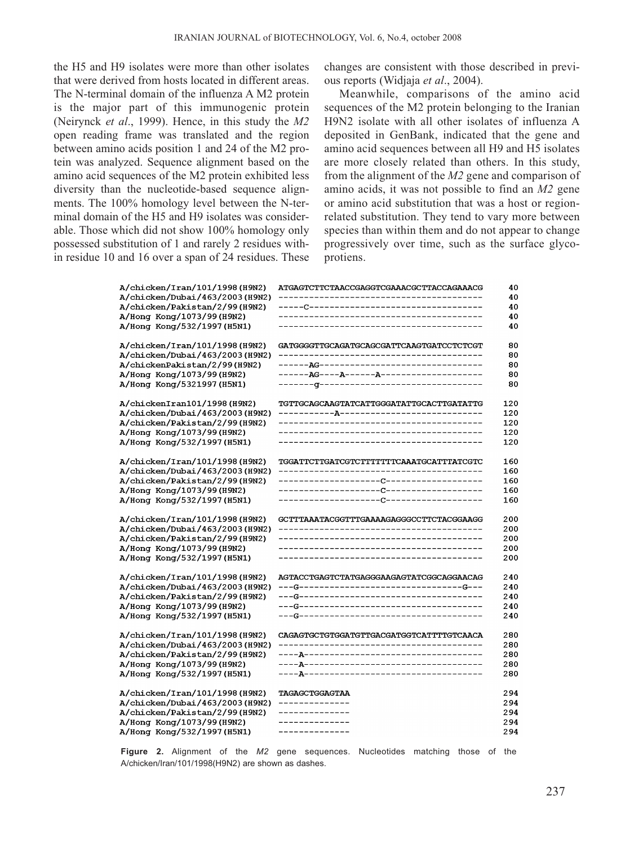the H5 and H9 isolates were more than other isolates that were derived from hosts located in different areas. The N-terminal domain of the influenza A M2 protein is the major part of this immunogenic protein (Neirynck *et al*., 1999). Hence, in this study the *M2* open reading frame was translated and the region between amino acids position 1 and 24 of the M2 protein was analyzed. Sequence alignment based on the amino acid sequences of the M2 protein exhibited less diversity than the nucleotide-based sequence alignments. The 100% homology level between the N-terminal domain of the H5 and H9 isolates was considerable. Those which did not show 100% homology only possessed substitution of 1 and rarely 2 residues within residue 10 and 16 over a span of 24 residues. These changes are consistent with those described in previous reports (Widjaja *et al*., 2004).

Meanwhile, comparisons of the amino acid sequences of the M2 protein belonging to the Iranian H9N2 isolate with all other isolates of influenza A deposited in GenBank, indicated that the gene and amino acid sequences between all H9 and H5 isolates are more closely related than others. In this study, from the alignment of the *M2* gene and comparison of amino acids, it was not possible to find an *M2* gene or amino acid substitution that was a host or regionrelated substitution. They tend to vary more between species than within them and do not appear to change progressively over time, such as the surface glycoprotiens.

| A/chicken/Iran/101/1998(H9N2)<br>GATGGGGTTGCAGATGCAGCGATTCAAGTGATCCTCTCGT<br>A/chicken/Dubai/463/2003(H9N2)<br>A/chickenPakistan/2/99(H9N2)<br>A/Hong Kong/1073/99 (H9N2)<br>A/Hong Kong/5321997 (H5N1)<br>A/chickenIran101/1998(H9N2)<br>TGTTGCAGCAAGTATCATTGGGATATTGCACTTGATATTG<br>A/chicken/Dubai/463/2003(H9N2)<br>A/chicken/Pakistan/2/99(H9N2)<br>A/Hong Kong/1073/99 (H9N2)<br>--------------------------------------<br>A/Hong Kong/532/1997 (H5N1)<br>-------------------------------------<br>A/chicken/Iran/101/1998(H9N2)<br>TGGATTCTTGATCGTCTTTTTTTCAAATGCATTTATCGTC<br>A/chicken/Dubai/463/2003(H9N2) | 40<br>ATGAGTCTTCTAACCGAGGTCGAAACGCTTACCAGAAACG<br>40<br>40<br>40<br>40 | A/chicken/Iran/101/1998(H9N2)<br>A/chicken/Dubai/463/2003(H9N2)<br>A/chicken/Pakistan/2/99(H9N2)<br>A/Hong Kong/1073/99 (H9N2)<br>A/Hong Kong/532/1997 (H5N1) |  |
|----------------------------------------------------------------------------------------------------------------------------------------------------------------------------------------------------------------------------------------------------------------------------------------------------------------------------------------------------------------------------------------------------------------------------------------------------------------------------------------------------------------------------------------------------------------------------------------------------------------------|------------------------------------------------------------------------|---------------------------------------------------------------------------------------------------------------------------------------------------------------|--|
|                                                                                                                                                                                                                                                                                                                                                                                                                                                                                                                                                                                                                      | 80<br>80<br>80<br>80<br>80                                             |                                                                                                                                                               |  |
|                                                                                                                                                                                                                                                                                                                                                                                                                                                                                                                                                                                                                      | 120<br>120<br>120<br>120<br>120                                        |                                                                                                                                                               |  |
| A/chicken/Pakistan/2/99(H9N2)<br>A/Hong Kong/1073/99 (H9N2)<br>A/Hong Kong/532/1997 (H5N1)                                                                                                                                                                                                                                                                                                                                                                                                                                                                                                                           | 160<br>160<br>160<br>160<br>160                                        |                                                                                                                                                               |  |
| A/chicken/Iran/101/1998(H9N2)<br>GCTTTAAATACGGTTTGAAAAGAGGGCCTTCTACGGAAGG<br>A/chicken/Dubai/463/2003(H9N2)<br>A/chicken/Pakistan/2/99(H9N2)<br>A/Hong Kong/1073/99 (H9N2)<br>A/Hong Kong/532/1997 (H5N1)<br>------------------------------------                                                                                                                                                                                                                                                                                                                                                                    | 200<br>200<br>200<br>200<br>200                                        |                                                                                                                                                               |  |
| A/chicken/Iran/101/1998(H9N2)<br>AGTACCTGAGTCTATGAGGGAAGAGTATCGGCAGGAACAG<br>A/chicken/Dubai/463/2003(H9N2)<br>---G--------------------------------G---<br>A/chicken/Pakistan/2/99(H9N2)<br>A/Hong Kong/1073/99 (H9N2)<br>A/Hong Kong/532/1997 (H5N1)                                                                                                                                                                                                                                                                                                                                                                | 240<br>240<br>240<br>240<br>240                                        |                                                                                                                                                               |  |
| A/chicken/Iran/101/1998(H9N2)<br>CAGAGTGCTGTGGATGTTGACGATGGTCATTTTGTCAACA<br>A/chicken/Dubai/463/2003(H9N2)<br>A/chicken/Pakistan/2/99(H9N2)<br>A/Hong Kong/1073/99 (H9N2)<br>A/Hong Kong/532/1997 (H5N1)                                                                                                                                                                                                                                                                                                                                                                                                            | 280<br>280<br>280<br>280<br>280                                        |                                                                                                                                                               |  |
| A/chicken/Iran/101/1998(H9N2)<br><b>TAGAGCTGGAGTAA</b><br>A/chicken/Dubai/463/2003(H9N2)<br>--------------<br>A/chicken/Pakistan/2/99(H9N2)<br>--------------<br>A/Hong Kong/1073/99 (H9N2)<br>--------------<br>A/Hong Kong/532/1997 (H5N1)<br>--------------                                                                                                                                                                                                                                                                                                                                                       | 294<br>294<br>294<br>294<br>294                                        |                                                                                                                                                               |  |

**Figure 2.** Alignment of the *M2* gene sequences. Nucleotides matching those of the A/chicken/Iran/101/1998(H9N2) are shown as dashes.